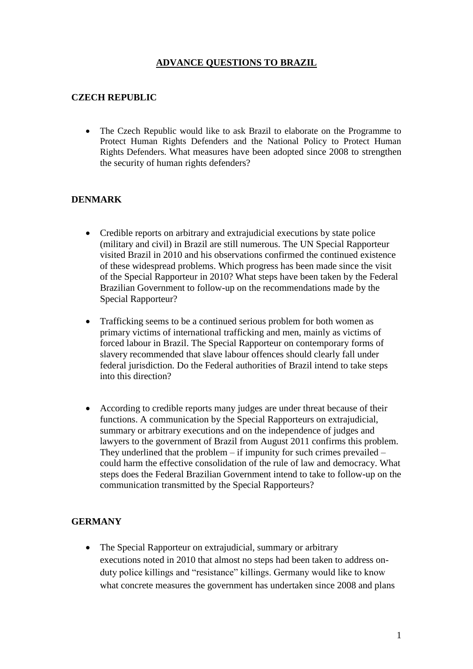## **ADVANCE QUESTIONS TO BRAZIL**

### **CZECH REPUBLIC**

• The Czech Republic would like to ask Brazil to elaborate on the Programme to Protect Human Rights Defenders and the National Policy to Protect Human Rights Defenders. What measures have been adopted since 2008 to strengthen the security of human rights defenders?

### **DENMARK**

- Credible reports on arbitrary and extrajudicial executions by state police (military and civil) in Brazil are still numerous. The UN Special Rapporteur visited Brazil in 2010 and his observations confirmed the continued existence of these widespread problems. Which progress has been made since the visit of the Special Rapporteur in 2010? What steps have been taken by the Federal Brazilian Government to follow-up on the recommendations made by the Special Rapporteur?
- Trafficking seems to be a continued serious problem for both women as primary victims of international trafficking and men, mainly as victims of forced labour in Brazil. The Special Rapporteur on contemporary forms of slavery recommended that slave labour offences should clearly fall under federal jurisdiction. Do the Federal authorities of Brazil intend to take steps into this direction?
- According to credible reports many judges are under threat because of their functions. A communication by the Special Rapporteurs on extrajudicial, summary or arbitrary executions and on the independence of judges and lawyers to the government of Brazil from August 2011 confirms this problem. They underlined that the problem – if impunity for such crimes prevailed – could harm the effective consolidation of the rule of law and democracy. What steps does the Federal Brazilian Government intend to take to follow-up on the communication transmitted by the Special Rapporteurs?

### **GERMANY**

• The Special Rapporteur on extrajudicial, summary or arbitrary executions noted in 2010 that almost no steps had been taken to address onduty police killings and "resistance" killings. Germany would like to know what concrete measures the government has undertaken since 2008 and plans